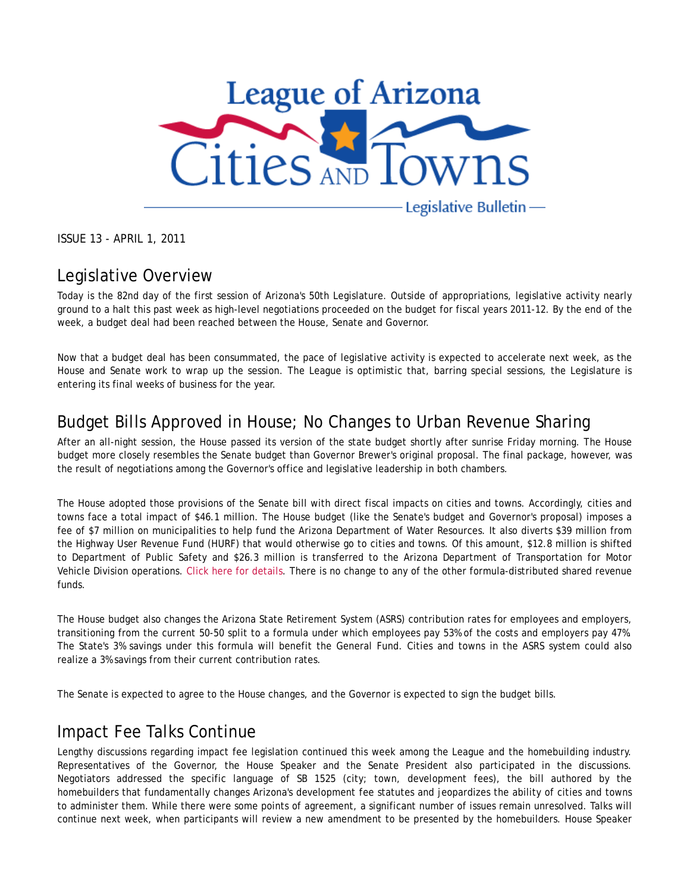

ISSUE 13 - APRIL 1, 2011

# Legislative Overview

Today is the 82nd day of the first session of Arizona's 50th Legislature. Outside of appropriations, legislative activity nearly ground to a halt this past week as high-level negotiations proceeded on the budget for fiscal years 2011-12. By the end of the week, a budget deal had been reached between the House, Senate and Governor.

Now that a budget deal has been consummated, the pace of legislative activity is expected to accelerate next week, as the House and Senate work to wrap up the session. The League is optimistic that, barring special sessions, the Legislature is entering its final weeks of business for the year.

# Budget Bills Approved in House; No Changes to Urban Revenue Sharing

After an all-night session, the House passed its version of the state budget shortly after sunrise Friday morning. The House budget more closely resembles the Senate budget than Governor Brewer's original proposal. The final package, however, was the result of negotiations among the Governor's office and legislative leadership in both chambers.

The House adopted those provisions of the Senate bill with direct fiscal impacts on cities and towns. Accordingly, cities and towns face a total impact of \$46.1 million. The House budget (like the Senate's budget and Governor's proposal) imposes a fee of \$7 million on municipalities to help fund the Arizona Department of Water Resources. It also diverts \$39 million from the Highway User Revenue Fund (HURF) that would otherwise go to cities and towns. Of this amount, \$12.8 million is shifted to Department of Public Safety and \$26.3 million is transferred to the Arizona Department of Transportation for Motor Vehicle Division operations. Click here for details. There is no change to any of the other formula-distributed shared revenue funds.

The House budget also changes the Arizona State Retirement System (ASRS) contribution rates for employees and employers, transitioning from the current 50-50 split to a formula under which employees pay 53% of the costs and employers pay 47%. The State's 3% savings under this formula will benefit the General Fund. Cities and towns in the ASRS system could also realize a 3% savings from their current contribution rates.

The Senate is expected to agree to the House changes, and the Governor is expected to sign the budget bills.

#### Impact Fee Talks Continue

Lengthy discussions regarding impact fee legislation continued this week among the League and the homebuilding industry. Representatives of the Governor, the House Speaker and the Senate President also participated in the discussions. Negotiators addressed the specific language of SB 1525 (city; town, development fees), the bill authored by the homebuilders that fundamentally changes Arizona's development fee statutes and jeopardizes the ability of cities and towns to administer them. While there were some points of agreement, a significant number of issues remain unresolved. Talks will continue next week, when participants will review a new amendment to be presented by the homebuilders. House Speaker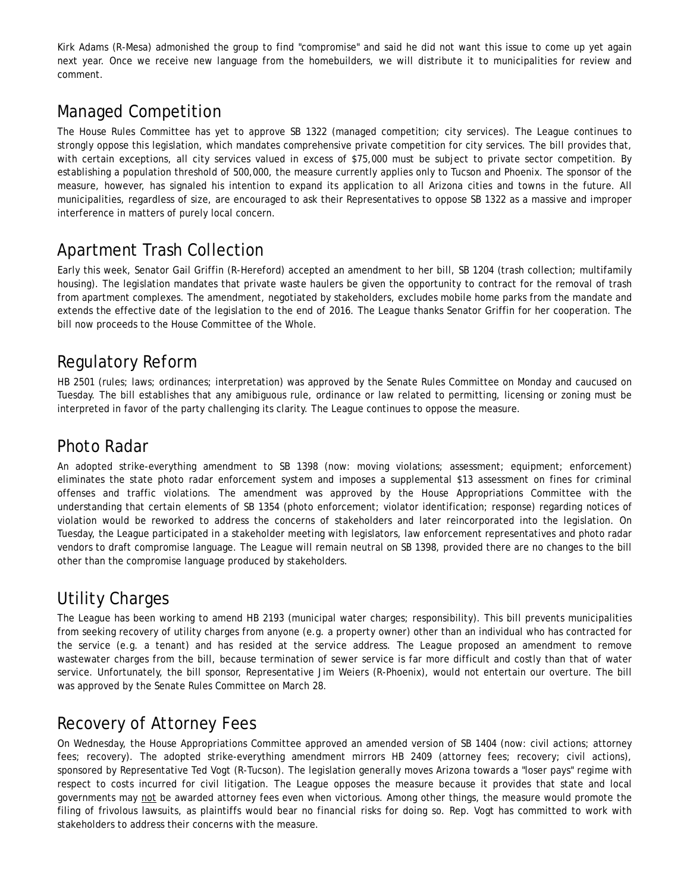Kirk Adams (R-Mesa) admonished the group to find "compromise" and said he did not want this issue to come up yet again next year. Once we receive new language from the homebuilders, we will distribute it to municipalities for review and comment.

# Managed Competition

The House Rules Committee has yet to approve SB 1322 (managed competition; city services). The League continues to strongly oppose this legislation, which mandates comprehensive private competition for city services. The bill provides that, with certain exceptions, all city services valued in excess of \$75,000 must be subject to private sector competition. By establishing a population threshold of 500,000, the measure currently applies only to Tucson and Phoenix. The sponsor of the measure, however, has signaled his intention to expand its application to all Arizona cities and towns in the future. All municipalities, regardless of size, are encouraged to ask their Representatives to oppose SB 1322 as a massive and improper interference in matters of purely local concern.

# Apartment Trash Collection

Early this week, Senator Gail Griffin (R-Hereford) accepted an amendment to her bill, SB 1204 (trash collection; multifamily housing). The legislation mandates that private waste haulers be given the opportunity to contract for the removal of trash from apartment complexes. The amendment, negotiated by stakeholders, excludes mobile home parks from the mandate and extends the effective date of the legislation to the end of 2016. The League thanks Senator Griffin for her cooperation. The bill now proceeds to the House Committee of the Whole.

## Regulatory Reform

HB 2501 (rules; laws; ordinances; interpretation) was approved by the Senate Rules Committee on Monday and caucused on Tuesday. The bill establishes that any amibiguous rule, ordinance or law related to permitting, licensing or zoning must be interpreted in favor of the party challenging its clarity. The League continues to oppose the measure.

#### Photo Radar

An adopted strike-everything amendment to SB 1398 (now: moving violations; assessment; equipment; enforcement) eliminates the state photo radar enforcement system and imposes a supplemental \$13 assessment on fines for criminal offenses and traffic violations. The amendment was approved by the House Appropriations Committee with the understanding that certain elements of SB 1354 (photo enforcement; violator identification; response) regarding notices of violation would be reworked to address the concerns of stakeholders and later reincorporated into the legislation. On Tuesday, the League participated in a stakeholder meeting with legislators, law enforcement representatives and photo radar vendors to draft compromise language. The League will remain neutral on SB 1398, provided there are no changes to the bill other than the compromise language produced by stakeholders.

# Utility Charges

The League has been working to amend HB 2193 (municipal water charges; responsibility). This bill prevents municipalities from seeking recovery of utility charges from anyone (e.g. a property owner) other than an individual who has contracted for the service (e.g. a tenant) and has resided at the service address. The League proposed an amendment to remove wastewater charges from the bill, because termination of sewer service is far more difficult and costly than that of water service. Unfortunately, the bill sponsor, Representative Jim Weiers (R-Phoenix), would not entertain our overture. The bill was approved by the Senate Rules Committee on March 28.

### Recovery of Attorney Fees

On Wednesday, the House Appropriations Committee approved an amended version of SB 1404 (now: civil actions; attorney fees; recovery). The adopted strike-everything amendment mirrors HB 2409 (attorney fees; recovery; civil actions), sponsored by Representative Ted Vogt (R-Tucson). The legislation generally moves Arizona towards a "loser pays" regime with respect to costs incurred for civil litigation. The League opposes the measure because it provides that state and local governments may not be awarded attorney fees even when victorious. Among other things, the measure would promote the filing of frivolous lawsuits, as plaintiffs would bear no financial risks for doing so. Rep. Vogt has committed to work with stakeholders to address their concerns with the measure.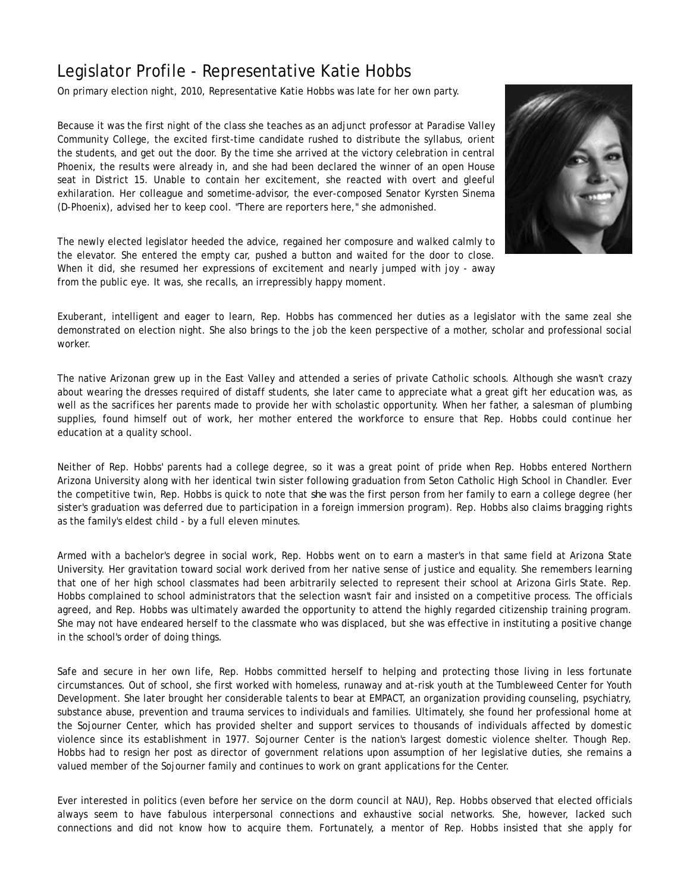# Legislator Profile - Representative Katie Hobbs

On primary election night, 2010, Representative Katie Hobbs was late for her own party.

Because it was the first night of the class she teaches as an adjunct professor at Paradise Valley Community College, the excited first-time candidate rushed to distribute the syllabus, orient the students, and get out the door. By the time she arrived at the victory celebration in central Phoenix, the results were already in, and she had been declared the winner of an open House seat in District 15. Unable to contain her excitement, she reacted with overt and gleeful exhilaration. Her colleague and sometime-advisor, the ever-composed Senator Kyrsten Sinema (D-Phoenix), advised her to keep cool. "There are reporters here," she admonished.



The newly elected legislator heeded the advice, regained her composure and walked calmly to the elevator. She entered the empty car, pushed a button and waited for the door to close. When it did, she resumed her expressions of excitement and nearly jumped with joy - away from the public eye. It was, she recalls, an irrepressibly happy moment.

Exuberant, intelligent and eager to learn, Rep. Hobbs has commenced her duties as a legislator with the same zeal she demonstrated on election night. She also brings to the job the keen perspective of a mother, scholar and professional social worker.

The native Arizonan grew up in the East Valley and attended a series of private Catholic schools. Although she wasn't crazy about wearing the dresses required of distaff students, she later came to appreciate what a great gift her education was, as well as the sacrifices her parents made to provide her with scholastic opportunity. When her father, a salesman of plumbing supplies, found himself out of work, her mother entered the workforce to ensure that Rep. Hobbs could continue her education at a quality school.

Neither of Rep. Hobbs' parents had a college degree, so it was a great point of pride when Rep. Hobbs entered Northern Arizona University along with her identical twin sister following graduation from Seton Catholic High School in Chandler. Ever the competitive twin, Rep. Hobbs is quick to note that *she* was the first person from her family to earn a college degree (her sister's graduation was deferred due to participation in a foreign immersion program). Rep. Hobbs also claims bragging rights as the family's eldest child - by a full eleven minutes.

Armed with a bachelor's degree in social work, Rep. Hobbs went on to earn a master's in that same field at Arizona State University. Her gravitation toward social work derived from her native sense of justice and equality. She remembers learning that one of her high school classmates had been arbitrarily selected to represent their school at Arizona Girls State. Rep. Hobbs complained to school administrators that the selection wasn't fair and insisted on a competitive process. The officials agreed, and Rep. Hobbs was ultimately awarded the opportunity to attend the highly regarded citizenship training program. She may not have endeared herself to the classmate who was displaced, but she was effective in instituting a positive change in the school's order of doing things.

Safe and secure in her own life, Rep. Hobbs committed herself to helping and protecting those living in less fortunate circumstances. Out of school, she first worked with homeless, runaway and at-risk youth at the Tumbleweed Center for Youth Development. She later brought her considerable talents to bear at EMPACT, an organization providing counseling, psychiatry, substance abuse, prevention and trauma services to individuals and families. Ultimately, she found her professional home at the Sojourner Center, which has provided shelter and support services to thousands of individuals affected by domestic violence since its establishment in 1977. Sojourner Center is the nation's largest domestic violence shelter. Though Rep. Hobbs had to resign her post as director of government relations upon assumption of her legislative duties, she remains a valued member of the Sojourner family and continues to work on grant applications for the Center.

Ever interested in politics (even before her service on the dorm council at NAU), Rep. Hobbs observed that elected officials always seem to have fabulous interpersonal connections and exhaustive social networks. She, however, lacked such connections and did not know how to acquire them. Fortunately, a mentor of Rep. Hobbs insisted that she apply for